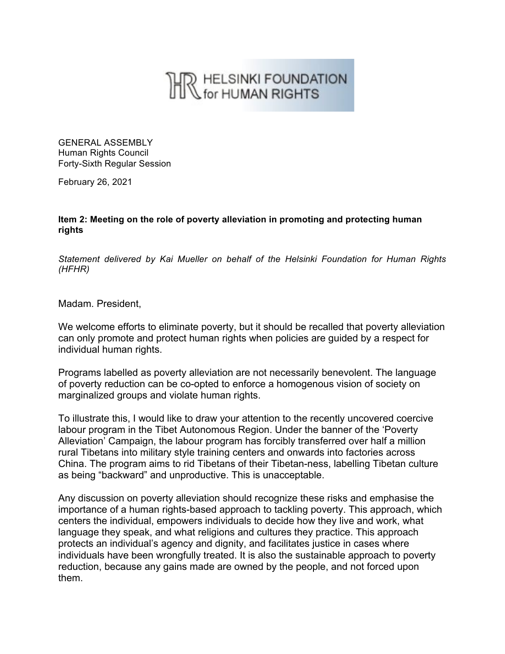## THR HELSINKI FOUNDATION

GENERAL ASSEMBLY Human Rights Council Forty-Sixth Regular Session

February 26, 2021

**Item 2: Meeting on the role of poverty alleviation in promoting and protecting human rights**

*Statement delivered by Kai Mueller on behalf of the Helsinki Foundation for Human Rights (HFHR)*

Madam. President,

We welcome efforts to eliminate poverty, but it should be recalled that poverty alleviation can only promote and protect human rights when policies are guided by a respect for individual human rights.

Programs labelled as poverty alleviation are not necessarily benevolent. The language of poverty reduction can be co-opted to enforce a homogenous vision of society on marginalized groups and violate human rights.

To illustrate this, I would like to draw your attention to the recently uncovered coercive labour program in the Tibet Autonomous Region. Under the banner of the 'Poverty Alleviation' Campaign, the labour program has forcibly transferred over half a million rural Tibetans into military style training centers and onwards into factories across China. The program aims to rid Tibetans of their Tibetan-ness, labelling Tibetan culture as being "backward" and unproductive. This is unacceptable.

Any discussion on poverty alleviation should recognize these risks and emphasise the importance of a human rights-based approach to tackling poverty. This approach, which centers the individual, empowers individuals to decide how they live and work, what language they speak, and what religions and cultures they practice. This approach protects an individual's agency and dignity, and facilitates justice in cases where individuals have been wrongfully treated. It is also the sustainable approach to poverty reduction, because any gains made are owned by the people, and not forced upon them.